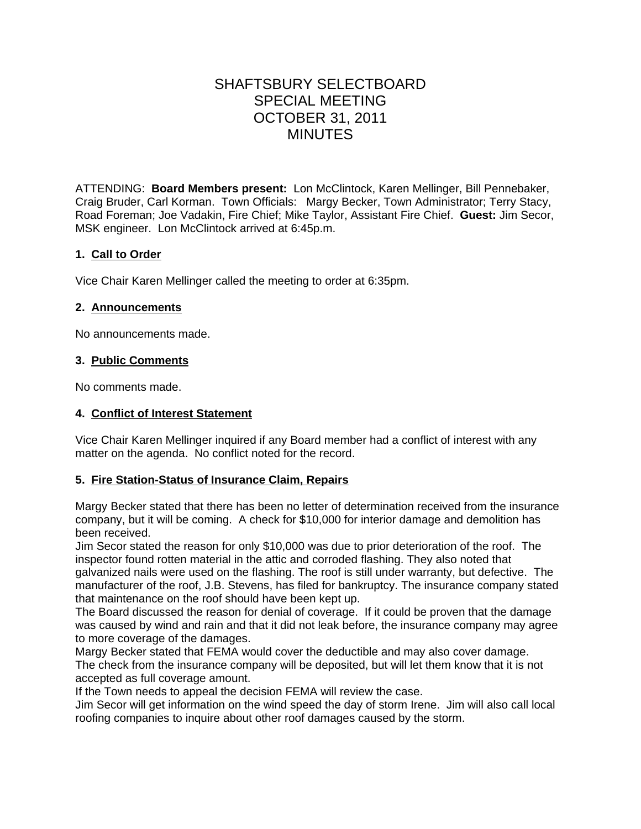# SHAFTSBURY SELECTBOARD SPECIAL MEETING OCTOBER 31, 2011 MINUTES

ATTENDING: **Board Members present:** Lon McClintock, Karen Mellinger, Bill Pennebaker, Craig Bruder, Carl Korman. Town Officials: Margy Becker, Town Administrator; Terry Stacy, Road Foreman; Joe Vadakin, Fire Chief; Mike Taylor, Assistant Fire Chief. **Guest:** Jim Secor, MSK engineer. Lon McClintock arrived at 6:45p.m.

## **1. Call to Order**

Vice Chair Karen Mellinger called the meeting to order at 6:35pm.

### **2. Announcements**

No announcements made.

### **3. Public Comments**

No comments made.

### **4. Conflict of Interest Statement**

Vice Chair Karen Mellinger inquired if any Board member had a conflict of interest with any matter on the agenda. No conflict noted for the record.

### **5. Fire Station-Status of Insurance Claim, Repairs**

Margy Becker stated that there has been no letter of determination received from the insurance company, but it will be coming. A check for \$10,000 for interior damage and demolition has been received.

Jim Secor stated the reason for only \$10,000 was due to prior deterioration of the roof. The inspector found rotten material in the attic and corroded flashing. They also noted that galvanized nails were used on the flashing. The roof is still under warranty, but defective. The manufacturer of the roof, J.B. Stevens, has filed for bankruptcy. The insurance company stated that maintenance on the roof should have been kept up.

The Board discussed the reason for denial of coverage. If it could be proven that the damage was caused by wind and rain and that it did not leak before, the insurance company may agree to more coverage of the damages.

Margy Becker stated that FEMA would cover the deductible and may also cover damage. The check from the insurance company will be deposited, but will let them know that it is not accepted as full coverage amount.

If the Town needs to appeal the decision FEMA will review the case.

Jim Secor will get information on the wind speed the day of storm Irene. Jim will also call local roofing companies to inquire about other roof damages caused by the storm.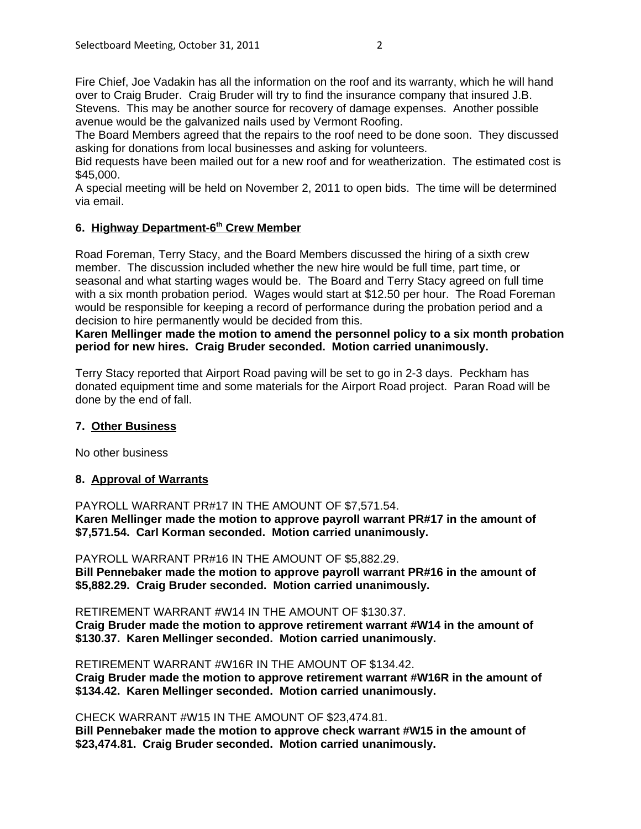Fire Chief, Joe Vadakin has all the information on the roof and its warranty, which he will hand over to Craig Bruder. Craig Bruder will try to find the insurance company that insured J.B. Stevens. This may be another source for recovery of damage expenses. Another possible avenue would be the galvanized nails used by Vermont Roofing.

The Board Members agreed that the repairs to the roof need to be done soon. They discussed asking for donations from local businesses and asking for volunteers.

Bid requests have been mailed out for a new roof and for weatherization. The estimated cost is \$45,000.

A special meeting will be held on November 2, 2011 to open bids. The time will be determined via email.

#### 6. Highway Department-6<sup>th</sup> Crew Member

Road Foreman, Terry Stacy, and the Board Members discussed the hiring of a sixth crew member. The discussion included whether the new hire would be full time, part time, or seasonal and what starting wages would be. The Board and Terry Stacy agreed on full time with a six month probation period. Wages would start at \$12.50 per hour. The Road Foreman would be responsible for keeping a record of performance during the probation period and a decision to hire permanently would be decided from this.

**Karen Mellinger made the motion to amend the personnel policy to a six month probation period for new hires. Craig Bruder seconded. Motion carried unanimously.**

Terry Stacy reported that Airport Road paving will be set to go in 2-3 days. Peckham has donated equipment time and some materials for the Airport Road project. Paran Road will be done by the end of fall.

### **7. Other Business**

No other business

### **8. Approval of Warrants**

PAYROLL WARRANT PR#17 IN THE AMOUNT OF \$7,571.54. **Karen Mellinger made the motion to approve payroll warrant PR#17 in the amount of \$7,571.54. Carl Korman seconded. Motion carried unanimously.**

PAYROLL WARRANT PR#16 IN THE AMOUNT OF \$5,882.29.

**Bill Pennebaker made the motion to approve payroll warrant PR#16 in the amount of \$5,882.29. Craig Bruder seconded. Motion carried unanimously.**

RETIREMENT WARRANT #W14 IN THE AMOUNT OF \$130.37.

**Craig Bruder made the motion to approve retirement warrant #W14 in the amount of \$130.37. Karen Mellinger seconded. Motion carried unanimously.**

RETIREMENT WARRANT #W16R IN THE AMOUNT OF \$134.42.

**Craig Bruder made the motion to approve retirement warrant #W16R in the amount of \$134.42. Karen Mellinger seconded. Motion carried unanimously.**

CHECK WARRANT #W15 IN THE AMOUNT OF \$23,474.81.

**Bill Pennebaker made the motion to approve check warrant #W15 in the amount of \$23,474.81. Craig Bruder seconded. Motion carried unanimously.**